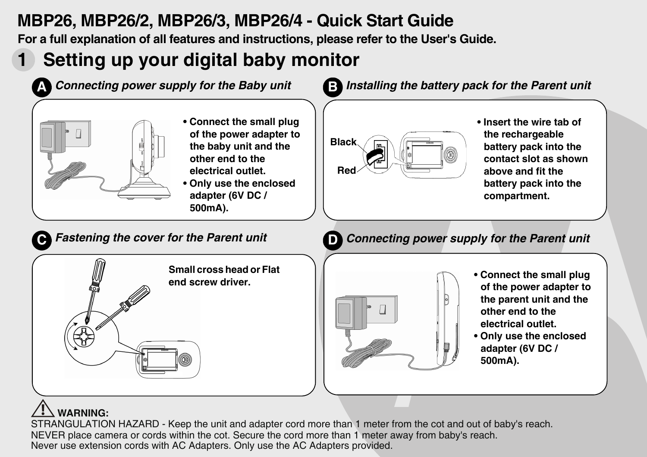## **MBP26, MBP26/2, MBP26/3, MBP26/4 - Quick Start Guide**

**For a full explanation of all features and instructions, please refer to the User's Guide.**

# **1 Setting up your digital baby monitor**



### **WARNING:**

STRANGULATION HAZARD - Keep the unit and adapter cord more than 1 meter from the cot and out of baby's reach. NEVER place camera or cords within the cot. Secure the cord more than 1 meter away from baby's reach. Never use extension cords with AC Adapters. Only use the AC Adapters provided.